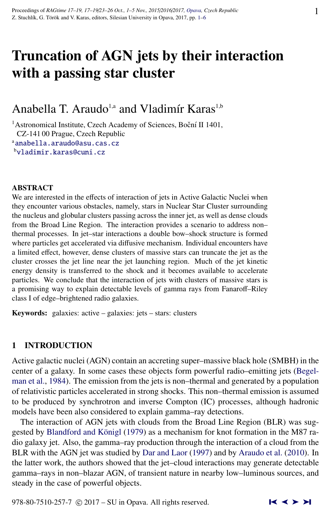# Truncation of AGN jets by their interaction with a passing star cluster

# Anabella T. Araudo<sup>1,a</sup> and Vladimír Karas<sup>1,b</sup>

<sup>1</sup> Astronomical Institute, Czech Academy of Sciences, Boční II 1401, CZ-141 00 Prague, Czech Republic a[anabella.araudo@asu.cas.cz](http://www.physics.cz/ anabella.araudo@asu.cas.cz) <sup>b</sup>[vladimir.karas@cuni.cz](http://www.physics.cz/ vladimir.karas@cuni.cz)

#### ABSTRACT

We are interested in the effects of interaction of jets in Active Galactic Nuclei when they encounter various obstacles, namely, stars in Nuclear Star Cluster surrounding the nucleus and globular clusters passing across the inner jet, as well as dense clouds from the Broad Line Region. The interaction provides a scenario to address non– thermal processes. In jet–star interactions a double bow–shock structure is formed where particles get accelerated via diffusive mechanism. Individual encounters have a limited effect, however, dense clusters of massive stars can truncate the jet as the cluster crosses the jet line near the jet launching region. Much of the jet kinetic energy density is transferred to the shock and it becomes available to accelerate particles. We conclude that the interaction of jets with clusters of massive stars is a promising way to explain detectable levels of gamma rays from Fanaroff–Riley class I of edge–brightened radio galaxies.

Keywords: galaxies: active – galaxies: jets – stars: clusters

# 1 INTRODUCTION

Active galactic nuclei (AGN) contain an accreting super–massive black hole (SMBH) in the center of a galaxy. In some cases these objects form powerful radio–emitting jets [\(Begel](#page-4-0)[man et al.,](#page-4-0) [1984\)](#page-4-0). The emission from the jets is non–thermal and generated by a population of relativistic particles accelerated in strong shocks. This non–thermal emission is assumed to be produced by synchrotron and inverse Compton (IC) processes, although hadronic models have been also considered to explain gamma–ray detections.

The interaction of AGN jets with clouds from the Broad Line Region (BLR) was sug-gested by Blandford and Königl [\(1979\)](#page-4-0) as a mechanism for knot formation in the M87 radio galaxy jet. Also, the gamma–ray production through the interaction of a cloud from the BLR with the AGN jet was studied by [Dar and Laor](#page-4-0) [\(1997\)](#page-4-0) and by [Araudo et al.](#page-4-0) [\(2010\)](#page-4-0). In the latter work, the authors showed that the jet–cloud interactions may generate detectable gamma–rays in non–blazar AGN, of transient nature in nearby low–luminous sources, and steady in the case of powerful objects.

978-80-7510-257-7  $\odot$  2017 – SU in Opava. All rights reserved.  $\blacksquare$   $\blacktriangle$   $\blacktriangleright$   $\blacktriangleright$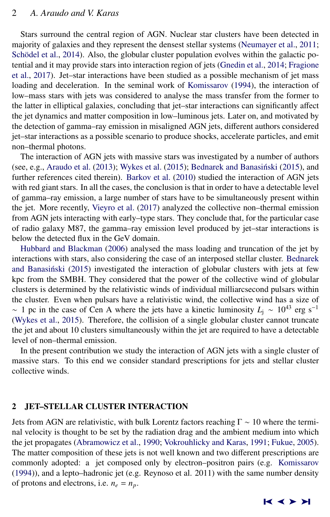### 2 *A. Araudo and V. Karas*

Stars surround the central region of AGN. Nuclear star clusters have been detected in majority of galaxies and they represent the densest stellar systems [\(Neumayer et al.,](#page-5-0) [2011;](#page-5-0) Schödel et al., [2014\)](#page-5-0). Also, the globular cluster population evolves within the galactic potential and it may provide stars into interaction region of jets [\(Gnedin et al.,](#page-5-0) [2014;](#page-5-0) [Fragione](#page-4-0) [et al.,](#page-4-0) [2017\)](#page-4-0). Jet–star interactions have been studied as a possible mechanism of jet mass loading and deceleration. In the seminal work of [Komissarov](#page-5-0) [\(1994\)](#page-5-0), the interaction of low–mass stars with jets was considered to analyse the mass transfer from the former to the latter in elliptical galaxies, concluding that jet–star interactions can significantly affect the jet dynamics and matter composition in low–luminous jets. Later on, and motivated by the detection of gamma–ray emission in misaligned AGN jets, different authors considered jet–star interactions as a possible scenario to produce shocks, accelerate particles, and emit non–thermal photons.

The interaction of AGN jets with massive stars was investigated by a number of authors (see, e.g., [Araudo et al.](#page-4-0)  $(2013)$ ; [Wykes et al.](#page-5-0)  $(2015)$ ; Bednarek and Banasiński  $(2015)$ , and further references cited therein). [Barkov et al.](#page-4-0) [\(2010\)](#page-4-0) studied the interaction of AGN jets with red giant stars. In all the cases, the conclusion is that in order to have a detectable level of gamma–ray emission, a large number of stars have to be simultaneously present within the jet. More recently, [Vieyro et al.](#page-5-0) [\(2017\)](#page-5-0) analyzed the collective non–thermal emission from AGN jets interacting with early–type stars. They conclude that, for the particular case of radio galaxy M87, the gamma–ray emission level produced by jet–star interactions is below the detected flux in the GeV domain.

[Hubbard and Blackman](#page-5-0) [\(2006\)](#page-5-0) analysed the mass loading and truncation of the jet by interactions with stars, also considering the case of an interposed stellar cluster. [Bednarek](#page-4-0) and Banasiński [\(2015\)](#page-4-0) investigated the interaction of globular clusters with jets at few kpc from the SMBH. They considered that the power of the collective wind of globular clusters is determined by the relativistic winds of individual milliarcsecond pulsars within the cluster. Even when pulsars have a relativistic wind, the collective wind has a size of  $\sim$  1 pc in the case of Cen A where the jets have a kinetic luminosity  $L<sub>i</sub> \sim 10^{43}$  erg s<sup>-1</sup> [\(Wykes et al.,](#page-5-0) [2015\)](#page-5-0). Therefore, the collision of a single globular cluster cannot truncate the jet and about 10 clusters simultaneously within the jet are required to have a detectable level of non–thermal emission.

In the present contribution we study the interaction of AGN jets with a single cluster of massive stars. To this end we consider standard prescriptions for jets and stellar cluster collective winds.

# 2 JET–STELLAR CLUSTER INTERACTION

Jets from AGN are relativistic, with bulk Lorentz factors reaching  $\Gamma \sim 10$  where the terminal velocity is thought to be set by the radiation drag and the ambient medium into which the jet propagates [\(Abramowicz et al.,](#page-4-0) [1990;](#page-4-0) [Vokrouhlicky and Karas,](#page-5-0) [1991;](#page-5-0) [Fukue,](#page-4-0) [2005\)](#page-4-0). The matter composition of these jets is not well known and two different prescriptions are commonly adopted: a jet composed only by electron–positron pairs (e.g. [Komissarov](#page-5-0) [\(1994\)](#page-5-0)), and a lepto–hadronic jet (e.g. Reynoso et al. 2011) with the same number density of protons and electrons, i.e.  $n_e = n_p$ .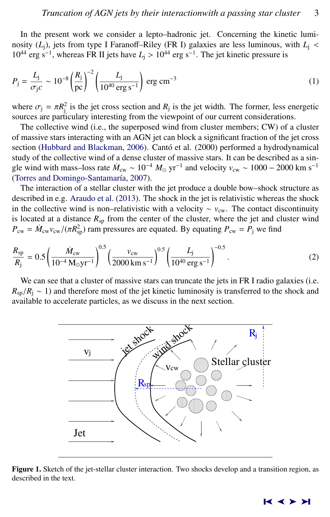In the present work we consider a lepto–hadronic jet. Concerning the kinetic luminosity  $(L_j)$ , jets from type I Faranoff–Riley (FR I) galaxies are less luminous, with  $L_j$  <  $10^{44}$  erg s<sup>-1</sup>, whereas FR II jets have  $L_j > 10^{44}$  erg s<sup>-1</sup>. The jet kinetic pressure is

$$
P_{\rm j} = \frac{L_{\rm j}}{\sigma_{\rm j} c} \sim 10^{-8} \left(\frac{R_{\rm j}}{\rm pc}\right)^{-2} \left(\frac{L_{\rm j}}{10^{40} \rm \, erg \, s^{-1}}\right) \rm \, erg \, cm^{-3} \tag{1}
$$

where  $\sigma_j = \pi R_j^2$  is the jet cross section and  $R_j$  is the jet width. The former, less energetic sources are particularly interesting from the viewpoint of our current considerations sources are particulary interesting from the viewpoint of our current considerations.

The collective wind (i.e., the superposed wind from cluster members; CW) of a cluster of massive stars interacting with an AGN jet can block a significant fraction of the jet cross section [\(Hubbard and Blackman,](#page-5-0) [2006\)](#page-5-0). Cantó et al. (2000) performed a hydrodynamical study of the collective wind of a dense cluster of massive stars. It can be described as a single wind with mass–loss rate  $\dot{M}_{\text{cw}} \sim 10^{-4} M_{\odot} \text{ yr}^{-1}$  and velocity  $v_{\text{cw}} \sim 1000 - 2000 \text{ km s}^{-1}$ (Torres and Domingo-Santamaría, [2007\)](#page-5-0).

The interaction of a stellar cluster with the jet produce a double bow–shock structure as described in e.g. [Araudo et al.](#page-4-0) [\(2013\)](#page-4-0). The shock in the jet is relativistic whereas the shock in the collective wind is non–relativistic with a velocity  $\sim v_{\rm cw}$ . The contact discontinuity is located at a distance  $R_{\rm SD}$  from the center of the cluster, where the jet and cluster wind  $P_{\text{cw}} = \dot{M}_{\text{cw}} v_{\text{cw}} / (\pi R_{\text{sp}}^2)$  ram pressures are equated. By equating  $P_{\text{cw}} = P_{\text{j}}$  we find

$$
\frac{R_{\rm sp}}{R_{\rm j}} = 0.5 \left( \frac{\dot{M}_{\rm cw}}{10^{-4} \, \text{M}_{\odot} \text{yr}^{-1}} \right)^{0.5} \left( \frac{v_{\rm cw}}{2000 \, \text{km s}^{-1}} \right)^{0.5} \left( \frac{L_{\rm j}}{10^{40} \, \text{erg s}^{-1}} \right)^{-0.5} . \tag{2}
$$

We can see that a cluster of massive stars can truncate the jets in FR I radio galaxies (i.e.  $R_{\rm SD}/R_i \sim 1$ ) and therefore most of the jet kinetic luminosity is transferred to the shock and available to accelerate particles, as we discuss in the next section.



Figure 1. Sketch of the jet-stellar cluster interaction. Two shocks develop and a transition region, as described in the text.

#### ➤❙ ➤➤ ➤❙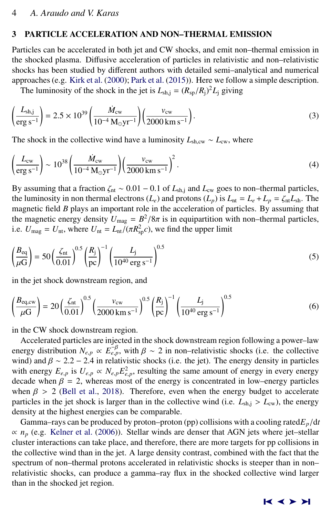#### 3 PARTICLE ACCELERATION AND NON–THERMAL EMISSION

Particles can be accelerated in both jet and CW shocks, and emit non–thermal emission in the shocked plasma. Diffusive acceleration of particles in relativistic and non–relativistic shocks has been studied by different authors with detailed semi–analytical and numerical approaches (e.g. [Kirk et al.](#page-5-0) [\(2000\)](#page-5-0); [Park et al.](#page-5-0) [\(2015\)](#page-5-0)). Here we follow a simple description.

The luminosity of the shock in the jet is  $L_{\text{sh,j}} = (R_{\text{sp}}/R_{\text{j}})^2 L_{\text{j}}$  giving

$$
\left(\frac{L_{\rm sh,j}}{\rm erg\,s^{-1}}\right) = 2.5 \times 10^{39} \left(\frac{\dot{M}_{\rm cw}}{10^{-4}\,\rm M_{\odot}yr^{-1}}\right) \left(\frac{v_{\rm cw}}{2000\,\rm km\,s^{-1}}\right). \tag{3}
$$

The shock in the collective wind have a luminosity *<sup>L</sup>*sh,cw <sup>∼</sup> *<sup>L</sup>*cw, where

$$
\left(\frac{L_{\rm cw}}{\rm erg\,s^{-1}}\right) \sim 10^{38} \left(\frac{\dot{M}_{\rm cw}}{10^{-4}\,\mathrm{M}_{\odot}\mathrm{yr}^{-1}}\right) \left(\frac{v_{\rm cw}}{2000\,\mathrm{km\,s^{-1}}}\right)^2.
$$
\n(4)

By assuming that a fraction  $\zeta_{nt} \sim 0.01 - 0.1$  of  $L_{sh,j}$  and  $L_{cw}$  goes to non–thermal particles, the luminosity in non thermal electrons  $(L_e)$  and protons  $(L_p)$  is  $L_{nt} = L_e + L_p = \zeta_{nt} L_{sh}$ . The magnetic field *B* plays an important role in the acceleration of particles. By assuming that the magnetic energy density  $U_{\text{mag}} = B^2/8\pi$  is in equipartition with non–thermal particles,<br>i.e.  $U = U_{\text{avg}} + U_{\text{avg}} = U_{\text{avg}} + U_{\text{avg}} = U_{\text{avg}}$  we find the upper limit i.e.  $U_{\text{mag}} = U_{\text{nt}}$ , where  $U_{\text{nt}} = L_{\text{nt}} / (\pi R_{\text{sp}}^2 c)$ , we find the upper limit

$$
\left(\frac{B_{\text{eq}}}{\mu G}\right) = 50 \left(\frac{\zeta_{\text{nt}}}{0.01}\right)^{0.5} \left(\frac{R_{\text{j}}}{\text{pc}}\right)^{-1} \left(\frac{L_{\text{j}}}{10^{40} \text{ erg s}^{-1}}\right)^{0.5} \tag{5}
$$

in the jet shock downstream region, and

$$
\left(\frac{B_{\text{eq,cw}}}{\mu\text{G}}\right) = 20 \left(\frac{\zeta_{\text{nt}}}{0.01}\right)^{0.5} \left(\frac{v_{\text{cw}}}{2000 \text{ km s}^{-1}}\right)^{0.5} \left(\frac{R_{\text{j}}}{\text{pc}}\right)^{-1} \left(\frac{L_{\text{j}}}{10^{40} \text{ erg s}^{-1}}\right)^{0.5} \tag{6}
$$

in the CW shock downstream region.

Accelerated particles are injected in the shock downstream region following a power–law energy distribution  $N_{e,p} \propto E_{e,p}^{\frac{p}{p}}$ , with  $\beta \sim 2$  in non–relativistic shocks (i.e. the collective wind) and  $\beta \sim 2.2 - 2.4$  in relativistic shocks (i.e. the energy density in particles wind) and  $\beta \sim 2.2 - 2.4$  in relativistic shocks (i.e. the jet). The energy density in particles with energy  $E_{e,p}$  is  $U_{e,p} \propto N_{e,p} E_{e,p}^2$ , resulting the same amount of energy in every energy decade when  $\beta = 2$ , whereas most of the energy is concentrated in low, energy particles decade when  $\beta = 2$ , whereas most of the energy is concentrated in low–energy particles when  $\beta > 2$  [\(Bell et al.,](#page-4-0) [2018\)](#page-4-0). Therefore, even when the energy budget to accelerate particles in the jet shock is larger than in the collective wind (i.e.  $L_{\text{sh,i}} > L_{\text{cw}}$ ), the energy density at the highest energies can be comparable.

Gamma–rays can be produced by proton–proton (pp) collisions with a cooling rated $E_p/dt$  $\propto n_p$  (e.g. [Kelner et al.](#page-5-0) [\(2006\)](#page-5-0)). Stellar winds are denser that AGN jets where jet–stellar cluster interactions can take place, and therefore, there are more targets for pp collisions in the collective wind than in the jet. A large density contrast, combined with the fact that the spectrum of non–thermal protons accelerated in relativistic shocks is steeper than in non– relativistic shocks, can produce a gamma–ray flux in the shocked collective wind larger than in the shocked jet region.

#### ➤❙ ➤➤ ➤❙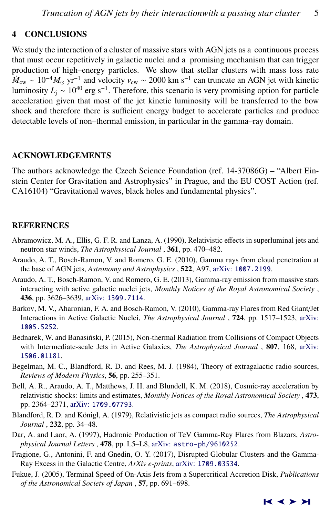# <span id="page-4-0"></span>4 CONCLUSIONS

We study the interaction of a cluster of massive stars with AGN jets as a continuous process that must occur repetitively in galactic nuclei and a promising mechanism that can trigger production of high–energy particles. We show that stellar clusters with mass loss rate  $\dot{M}_{\text{cw}} \sim 10^{-4} M_{\odot} \text{ yr}^{-1}$  and velocity  $v_{\text{cw}} \sim 2000 \text{ km s}^{-1}$  can truncate an AGN jet with kinetic luminosity *L*<sub>j</sub> ~ 10<sup>40</sup> erg s<sup>-1</sup>. Therefore, this scenario is very promising option for particle acceleration given that most of the jet kinetic luminosity will be transferred to the bow shock and therefore there is sufficient energy budget to accelerate particles and produce detectable levels of non–thermal emission, in particular in the gamma–ray domain.

#### ACKNOWLEDGEMENTS

The authors acknowledge the Czech Science Foundation (ref. 14-37086G) – "Albert Einstein Center for Gravitation and Astrophysics" in Prague, and the EU COST Action (ref. CA16104) "Gravitational waves, black holes and fundamental physics".

#### REFERENCES

- Abramowicz, M. A., Ellis, G. F. R. and Lanza, A. (1990), Relativistic effects in superluminal jets and neutron star winds, *The Astrophysical Journal* , 361, pp. 470–482.
- Araudo, A. T., Bosch-Ramon, V. and Romero, G. E. (2010), Gamma rays from cloud penetration at the base of AGN jets, *Astronomy and Astrophysics* , 522, A97, arXiv: [1007.2199](http://www.arxiv.org/abs/1007.2199).
- Araudo, A. T., Bosch-Ramon, V. and Romero, G. E. (2013), Gamma-ray emission from massive stars interacting with active galactic nuclei jets, *Monthly Notices of the Royal Astronomical Society* , 436, pp. 3626–3639, arXiv: [1309.7114](http://www.arxiv.org/abs/1309.7114).
- Barkov, M. V., Aharonian, F. A. and Bosch-Ramon, V. (2010), Gamma-ray Flares from Red Giant/Jet Interactions in Active Galactic Nuclei, *The Astrophysical Journal* , 724, pp. 1517–1523, [arXiv:](http://www.arxiv.org/abs/1005.5252) [1005.5252](http://www.arxiv.org/abs/1005.5252).
- Bednarek, W. and Banasiński, P. (2015), Non-thermal Radiation from Collisions of Compact Objects with Intermediate-scale Jets in Active Galaxies, *The Astrophysical Journal* , 807, 168, [arXiv:](http://www.arxiv.org/abs/1506.01181) [1506.01181](http://www.arxiv.org/abs/1506.01181).
- Begelman, M. C., Blandford, R. D. and Rees, M. J. (1984), Theory of extragalactic radio sources, *Reviews of Modern Physics*, 56, pp. 255–351.
- Bell, A. R., Araudo, A. T., Matthews, J. H. and Blundell, K. M. (2018), Cosmic-ray acceleration by relativistic shocks: limits and estimates, *Monthly Notices of the Royal Astronomical Society* , 473, pp. 2364–2371, arXiv: [1709.07793](http://www.arxiv.org/abs/1709.07793).
- Blandford, R. D. and Königl, A. (1979), Relativistic jets as compact radio sources, The Astrophysical *Journal* , 232, pp. 34–48.
- Dar, A. and Laor, A. (1997), Hadronic Production of TeV Gamma-Ray Flares from Blazars, *Astrophysical Journal Letters* , 478, pp. L5–L8, arXiv: [astro-ph/9610252](http://www.arxiv.org/abs/astro-ph/9610252).
- Fragione, G., Antonini, F. and Gnedin, O. Y. (2017), Disrupted Globular Clusters and the Gamma-Ray Excess in the Galactic Centre, *ArXiv e-prints*, arXiv: [1709.03534](http://www.arxiv.org/abs/1709.03534).
- Fukue, J. (2005), Terminal Speed of On-Axis Jets from a Supercritical Accretion Disk, *Publications of the Astronomical Society of Japan* , 57, pp. 691–698.